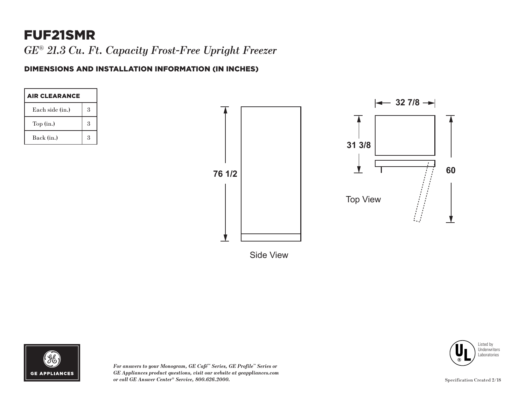# FUF21SMR

*GE*® *21.3 Cu. Ft. Capacity Frost-Free Upright Freezer*

#### DIMENSIONS AND INSTALLATION INFORMATION (IN INCHES)

| <b>AIR CLEARANCE</b> |                      |
|----------------------|----------------------|
| Each side (in.)      | 3                    |
| Top(in.)             | 3                    |
| Back (in.)           | $\boldsymbol{\beta}$ |





*For answers to your Monogram, GE Café™ Series, GE Profile™ Series or GE Appliances product questions, visit our website at geappliances.com or call GE Answer Center® Service, 800.626.2000.*